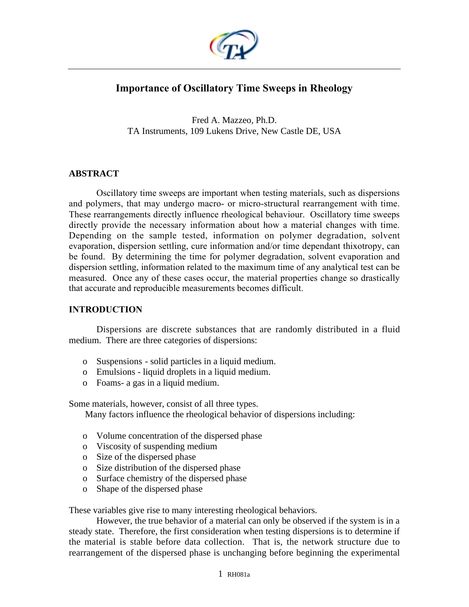

# **Importance of Oscillatory Time Sweeps in Rheology**

Fred A. Mazzeo, Ph.D. TA Instruments, 109 Lukens Drive, New Castle DE, USA

### **ABSTRACT**

Oscillatory time sweeps are important when testing materials, such as dispersions and polymers, that may undergo macro- or micro-structural rearrangement with time. These rearrangements directly influence rheological behaviour. Oscillatory time sweeps directly provide the necessary information about how a material changes with time. Depending on the sample tested, information on polymer degradation, solvent evaporation, dispersion settling, cure information and/or time dependant thixotropy, can be found. By determining the time for polymer degradation, solvent evaporation and dispersion settling, information related to the maximum time of any analytical test can be measured. Once any of these cases occur, the material properties change so drastically that accurate and reproducible measurements becomes difficult.

### **INTRODUCTION**

Dispersions are discrete substances that are randomly distributed in a fluid medium. There are three categories of dispersions:

- o Suspensions- solid particles in a liquid medium.
- o Emulsions liquid droplets in a liquid medium.
- o Foams- a gas in a liquid medium.

Some materials, however, consist of all three types.

Many factors influence the rheological behavior of dispersions including:

- o Volume concentration of the dispersed phase
- o Viscosity of suspending medium
- o Size of the dispersed phase
- o Size distribution of the dispersed phase
- o Surface chemistry of the dispersed phase
- o Shape of the dispersed phase

These variables give rise to many interesting rheological behaviors.

However, the true behavior of a material can only be observed if the system is in a steady state. Therefore, the first consideration when testing dispersions is to determine if the material is stable before data collection. That is, the network structure due to rearrangement of the dispersed phase is unchanging before beginning the experimental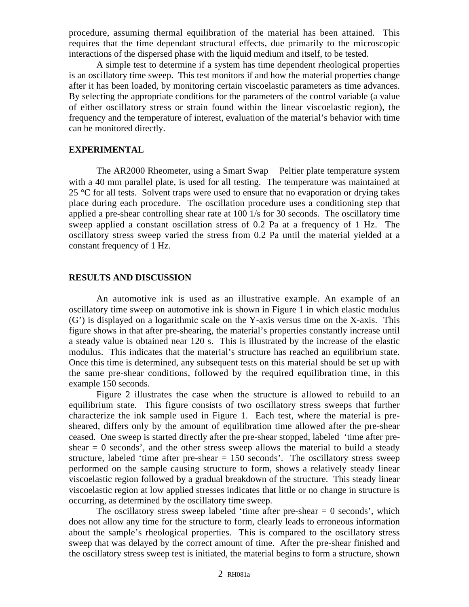procedure, assuming thermal equilibration of the material has been attained. This requires that the time dependant structural effects, due primarily to the microscopic interactions of the dispersed phase with the liquid medium and itself, to be tested.

A simple test to determine if a system has time dependent rheological properties is an oscillatory time sweep. This test monitors if and how the material properties change after it has been loaded, by monitoring certain viscoelastic parameters as time advances. By selecting the appropriate conditions for the parameters of the control variable (a value of either oscillatory stress or strain found within the linear viscoelastic region), the frequency and the temperature of interest, evaluation of the material's behavior with time can be monitored directly.

#### **EXPERIMENTAL**

The AR2000 Rheometer, using a Smart Swap<sup>TM</sup> Peltier plate temperature system with a 40 mm parallel plate, is used for all testing. The temperature was maintained at  $25 \text{ °C}$  for all tests. Solvent traps were used to ensure that no evaporation or drying takes place during each procedure. The oscillation procedure uses a conditioning step that applied a pre-shear controlling shear rate at 100 1/s for 30 seconds. The oscillatory time sweep applied a constant oscillation stress of 0.2 Pa at a frequency of 1 Hz. The oscillatory stress sweep varied the stress from 0.2 Pa until the material yielded at a constant frequency of 1 Hz.

#### **RESULTS AND DISCUSSION**

An automotive ink is used as an illustrative example. An example of an oscillatory time sweep on automotive ink is shown in Figure 1 in which elastic modulus (G') is displayed on a logarithmic scale on the Y-axis versus time on the X-axis. This figure shows in that after pre-shearing, the material's properties constantly increase until a steady value is obtained near 120 s. This is illustrated by the increase of the elastic modulus. This indicates that the material's structure has reached an equilibrium state. Once this time is determined, any subsequent tests on this material should be set up with the same pre-shear conditions, followed by the required equilibration time, in this example 150 seconds.

Figure 2 illustrates the case when the structure is allowed to rebuild to an equilibrium state. This figure consists of two oscillatory stress sweeps that further characterize the ink sample used in Figure 1. Each test, where the material is presheared, differs only by the amount of equilibration time allowed after the pre-shear ceased. One sweep is started directly after the pre-shear stopped, labeled 'time after preshear  $= 0$  seconds', and the other stress sweep allows the material to build a steady structure, labeled 'time after pre-shear  $= 150$  seconds'. The oscillatory stress sweep performed on the sample causing structure to form, shows a relatively steady linear viscoelastic region followed by a gradual breakdown of the structure. This steady linear viscoelastic region at low applied stresses indicates that little or no change in structure is occurring, as determined by the oscillatory time sweep.

The oscillatory stress sweep labeled 'time after pre-shear  $= 0$  seconds', which does not allow any time for the structure to form, clearly leads to erroneous information about the sample's rheological properties. This is compared to the oscillatory stress sweep that was delayed by the correct amount of time. After the pre-shear finished and the oscillatory stress sweep test is initiated, the material begins to form a structure, shown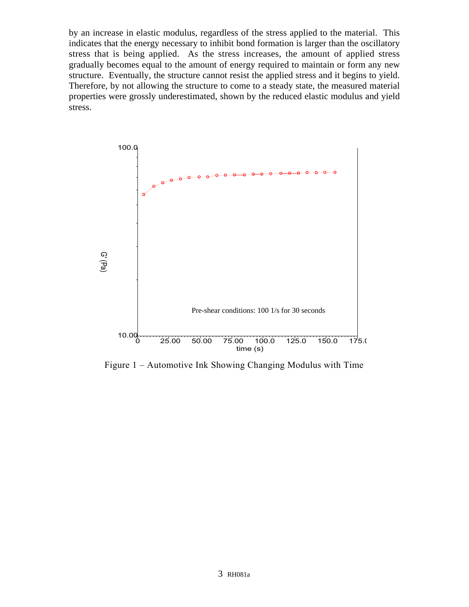by an increase in elastic modulus, regardless of the stress applied to the material. This indicates that the energy necessary to inhibit bond formation is larger than the oscillatory stress that is being applied. As the stress increases, the amount of applied stress gradually becomes equal to the amount of energy required to maintain or form any new structure. Eventually, the structure cannot resist the applied stress and it begins to yield. Therefore, by not allowing the structure to come to a steady state, the measured material properties were grossly underestimated, shown by the reduced elastic modulus and yield stress.



Figure 1 – Automotive Ink Showing Changing Modulus with Time